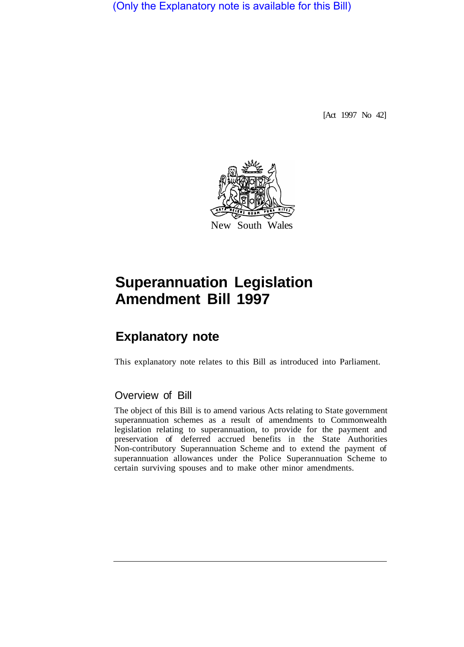(Only the Explanatory note is available for this Bill)

[Act 1997 No 42]



# **Superannuation Legislation Amendment Bill 1997**

# **Explanatory note**

This explanatory note relates to this Bill as introduced into Parliament.

# Overview of Bill

The object of this Bill is to amend various Acts relating to State government superannuation schemes as a result of amendments to Commonwealth legislation relating to superannuation, to provide for the payment and preservation of deferred accrued benefits in the State Authorities Non-contributory Superannuation Scheme and to extend the payment of superannuation allowances under the Police Superannuation Scheme to certain surviving spouses and to make other minor amendments.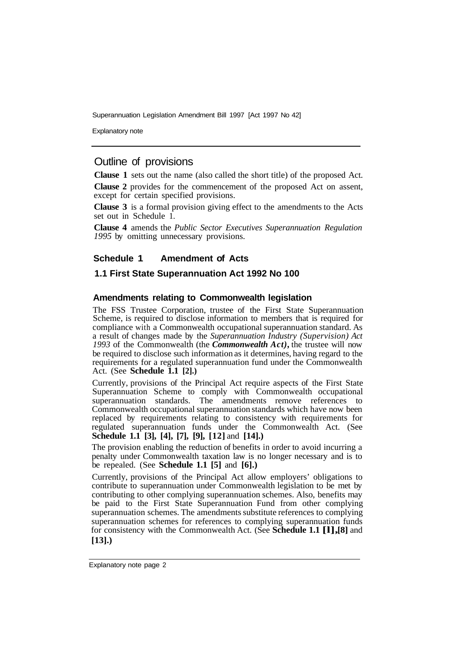Explanatory note

# Outline of provisions

**Clause 1** sets out the name (also called the short title) of the proposed Act.

**Clause 2** provides for the commencement of the proposed Act on assent, except for certain specified provisions.

**Clause 3** is a formal provision giving effect to the amendments to the Acts set out in Schedule 1.

**Clause 4** amends the *Public Sector Executives Superannuation Regulation 1995* by omitting unnecessary provisions.

# **Schedule 1 Amendment of Acts**

# **1.1 First State Superannuation Act 1992 No 100**

#### **Amendments relating to Commonwealth legislation**

The FSS Trustee Corporation, trustee of the First State Superannuation Scheme, is required to disclose information to members that is required for compliance with a Commonwealth occupational superannuation standard. As a result of changes made by the *Superannuation Industry (Supervision) Act 1993* of the Commonwealth (the *Commonwealth Act),* the trustee will now be required to disclose such information as it determines, having regard to the requirements for a regulated superannuation fund under the Commonwealth Act. (See **Schedule 1.1 [2].)** 

Currently, provisions of the Principal Act require aspects of the First State Superannuation Scheme to comply with Commonwealth occupational superannuation standards. The amendments remove references to Commonwealth occupational superannuation standards which have now been replaced by requirements relating to consistency with requirements for regulated superannuation funds under the Commonwealth Act. (See **Schedule 1.1 [3], [4], [7], [9], [12]** and **[14].)** 

The provision enabling the reduction of benefits in order to avoid incurring a penalty under Commonwealth taxation law is no longer necessary and is to be repealed. (See **Schedule 1.1 [5]** and **[6].)** 

Currently, provisions of the Principal Act allow employers' obligations to contribute to superannuation under Commonwealth legislation to be met by contributing to other complying superannuation schemes. Also, benefits may be paid to the First State Superannuation Fund from other complying superannuation schemes. The amendments substitute references to complying superannuation schemes for references to complying superannuation funds for consistency with the Commonwealth Act. (See **Schedule 1.1 [l], [8]** and **[13].)** 

Explanatory note page 2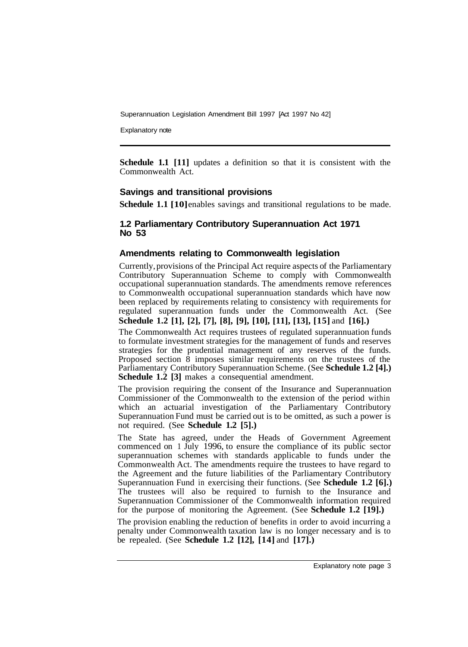Explanatory note

**Schedule 1.1** [11] updates a definition so that it is consistent with the Commonwealth Act.

#### **Savings and transitional provisions**

**Schedule 1.1 [10]** enables savings and transitional regulations to be made.

#### **1.2 Parliamentary Contributory Superannuation Act 1971 No 53**

#### **Amendments relating to Commonwealth legislation**

Currently, provisions of the Principal Act require aspects of the Parliamentary Contributory Superannuation Scheme to comply with Commonwealth occupational superannuation standards. The amendments remove references to Commonwealth occupational superannuation standards which have now been replaced by requirements relating to consistency with requirements for regulated superannuation funds under the Commonwealth Act. (See **Schedule 1.2 [1], [2], [7], [8], [9], [10], [11], [13], [15]** and **[16].)** 

The Commonwealth Act requires trustees of regulated superannuation funds to formulate investment strategies for the management of funds and reserves strategies for the prudential management of any reserves of the funds. Proposed section  $\overline{8}$  imposes similar requirements on the trustees of the Parliamentary Contributory Superannuation Scheme. (See **Schedule 1.2 [4].) Schedule 1.2 [3]** makes a consequential amendment.

The provision requiring the consent of the Insurance and Superannuation Commissioner of the Commonwealth to the extension of the period within which an actuarial investigation of the Parliamentary Contributory Superannuation Fund must be carried out is to be omitted, as such a power is not required. (See **Schedule 1.2 [5].)** 

The State has agreed, under the Heads of Government Agreement commenced on 1 July 1996, to ensure the compliance of its public sector superannuation schemes with standards applicable to funds under the Commonwealth Act. The amendments require the trustees to have regard to the Agreement and the future liabilities of the Parliamentary Contributory Superannuation Fund in exercising their functions. (See **Schedule 1.2 [6].)**  The trustees will also be required to furnish to the Insurance and Superannuation Commissioner of the Commonwealth information required for the purpose of monitoring the Agreement. (See **Schedule 1.2 [19].)** 

The provision enabling the reduction of benefits in order to avoid incurring a penalty under Commonwealth taxation law is no longer necessary and is to be repealed. (See **Schedule 1.2 [12], [14]** and **[17].)**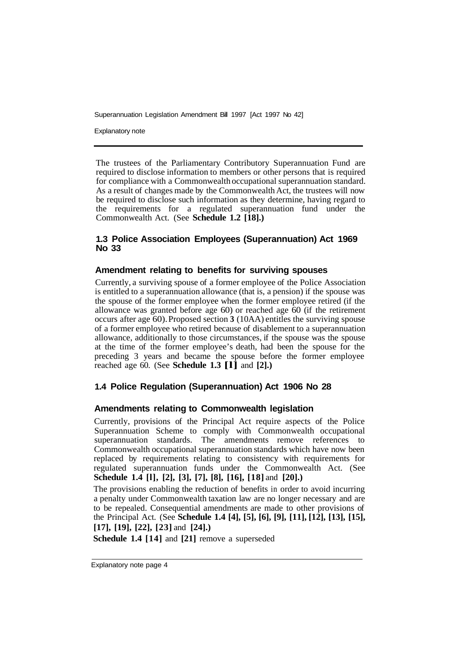Explanatory note

The trustees of the Parliamentary Contributory Superannuation Fund are required to disclose information to members or other persons that is required for compliance with a Commonwealth occupational superannuation standard. As a result of changes made by the Commonwealth Act, the trustees will now be required to disclose such information as they determine, having regard to the requirements for a regulated superannuation fund under the Commonwealth Act. (See **Schedule 1.2 [18].)** 

# **1.3 Police Association Employees (Superannuation) Act 1969 No 33**

# **Amendment relating to benefits for surviving spouses**

Currently, a surviving spouse of a former employee of the Police Association is entitled to a superannuation allowance (that is, a pension) if the spouse was the spouse of the former employee when the former employee retired (if the allowance was granted before age 60) or reached age 60 (if the retirement occurs after age 60). Proposed section **3** (10AA) entitles the surviving spouse of a former employee who retired because of disablement to a superannuation allowance, additionally to those circumstances, if the spouse was the spouse at the time of the former employee's death, had been the spouse for the preceding 3 years and became the spouse before the former employee reached age 60. (See **Schedule 1.3 [l]** and **[2].)** 

# **1.4 Police Regulation (Superannuation) Act 1906 No 28**

### **Amendments relating to Commonwealth legislation**

Currently, provisions of the Principal Act require aspects of the Police Superannuation Scheme to comply with Commonwealth occupational superannuation standards. The amendments remove references to Commonwealth occupational superannuation standards which have now been replaced by requirements relating to consistency with requirements for regulated superannuation funds under the Commonwealth Act. (See **Schedule 1.4 [l], [2], [3], [7], [8], [16], [18]** and **[20].)** 

The provisions enabling the reduction of benefits in order to avoid incurring a penalty under Commonwealth taxation law are no longer necessary and are to be repealed. Consequential amendments are made to other provisions of the Principal Act. (See **Schedule 1.4 [4], [5], [6], [9], [11], [12], [13], [15], [17], [19], [22], [23]** and **[24].)** 

**Schedule 1.4 [14] and [21] remove a superseded**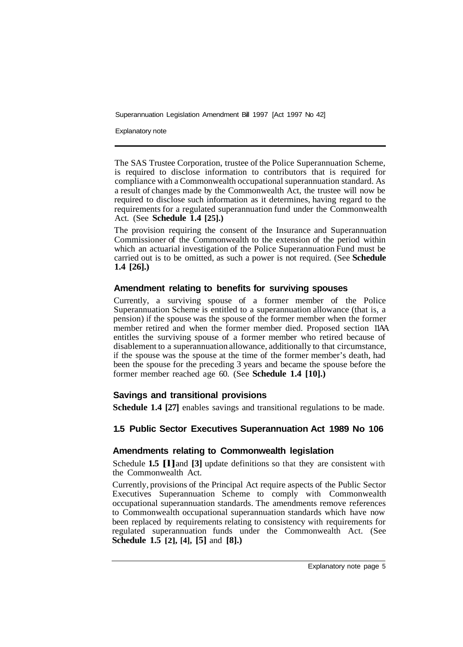Explanatory note

The SAS Trustee Corporation, trustee of the Police Superannuation Scheme, is required to disclose information to contributors that is required for compliance with a Commonwealth occupational superannuation standard. As a result of changes made by the Commonwealth Act, the trustee will now be required to disclose such information as it determines, having regard to the requirements for a regulated superannuation fund under the Commonwealth Act. (See **Schedule 1.4 [25].)** 

The provision requiring the consent of the Insurance and Superannuation Commissioner of the Commonwealth to the extension of the period within which an actuarial investigation of the Police Superannuation Fund must be carried out is to be omitted, as such a power is not required. (See **Schedule 1.4 [26].)** 

# **Amendment relating to benefits for surviving spouses**

Currently, a surviving spouse of a former member of the Police Superannuation Scheme is entitled to a superannuation allowance (that is, a pension) if the spouse was the spouse of the former member when the former member retired and when the former member died. Proposed section 11AA entitles the surviving spouse of a former member who retired because of disablement to a superannuation allowance, additionally to that circumstance, if the spouse was the spouse at the time of the former member's death, had been the spouse for the preceding 3 years and became the spouse before the former member reached age 60. (See **Schedule 1.4 [10].)** 

# **Savings and transitional provisions**

**Schedule 1.4 [27]** enables savings and transitional regulations to be made.

# **1.5 Public Sector Executives Superannuation Act 1989 No 106**

# **Amendments relating to Commonwealth legislation**

Schedule **1.5 [l]** and **[3]** update definitions so that they are consistent with the Commonwealth Act.

Currently, provisions of the Principal Act require aspects of the Public Sector Executives Superannuation Scheme to comply with Commonwealth occupational superannuation standards. The amendments remove references to Commonwealth occupational superannuation standards which have now been replaced by requirements relating to consistency with requirements for regulated superannuation funds under the Commonwealth Act. (See **Schedule 1.5 [2], [4], [5]** and **[8].)**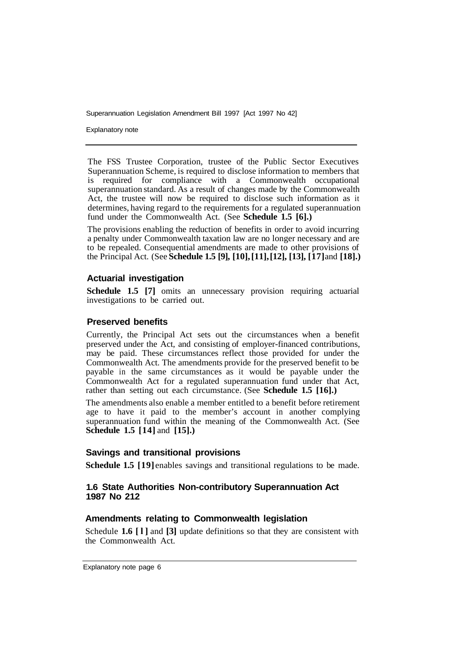Explanatory note

The FSS Trustee Corporation, trustee of the Public Sector Executives Superannuation Scheme, is required to disclose information to members that is required for compliance with a Commonwealth occupational superannuation standard. As a result of changes made by the Commonwealth Act, the trustee will now be required to disclose such information as it determines, having regard to the requirements for a regulated superannuation fund under the Commonwealth Act. (See **Schedule 1.5 [6].)** 

The provisions enabling the reduction of benefits in order to avoid incurring a penalty under Commonwealth taxation law are no longer necessary and are to be repealed. Consequential amendments are made to other provisions of the Principal Act. (See **Schedule 1.5 [9], [10], [11], [12], [13], [17]** and **[18].)** 

# **Actuarial investigation**

**Schedule 1.5 [7]** omits an unnecessary provision requiring actuarial investigations to be carried out.

# **Preserved benefits**

Currently, the Principal Act sets out the circumstances when a benefit preserved under the Act, and consisting of employer-financed contributions, may be paid. These circumstances reflect those provided for under the Commonwealth Act. The amendments provide for the preserved benefit to be payable in the same circumstances as it would be payable under the Commonwealth Act for a regulated superannuation fund under that Act, rather than setting out each circumstance. (See **Schedule 1.5 [16].)** 

The amendments also enable a member entitled to a benefit before retirement age to have it paid to the member's account in another complying superannuation fund within the meaning of the Commonwealth Act. (See **Schedule 1.5 [14]** and **[15].)** 

# **Savings and transitional provisions**

**Schedule 1.5 [19]** enables savings and transitional regulations to be made.

# **1.6 State Authorities Non-contributory Superannuation Act 1987 No 212**

# **Amendments relating to Commonwealth legislation**

Schedule **1.6 [l]** and **[3]** update definitions so that they are consistent with the Commonwealth Act.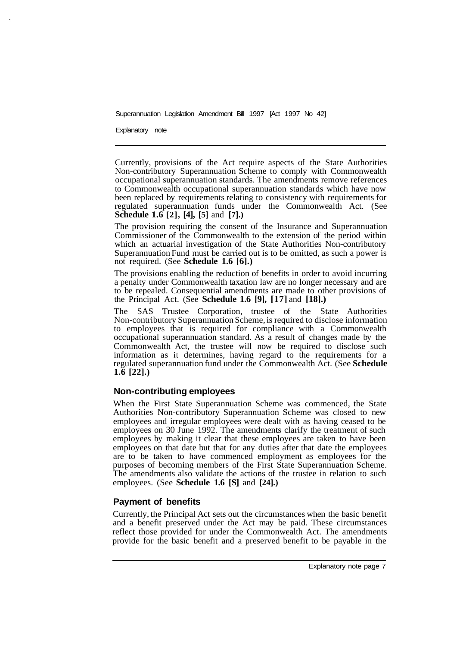Explanatory note

Currently, provisions of the Act require aspects of the State Authorities Non-contributory Superannuation Scheme to comply with Commonwealth occupational superannuation standards. The amendments remove references to Commonwealth occupational superannuation standards which have now been replaced by requirements relating to consistency with requirements for regulated superannuation funds under the Commonwealth Act. (See **Schedule 1.6 [2], [4], [5]** and **[7].)**

The provision requiring the consent of the Insurance and Superannuation Commissioner of the Commonwealth to the extension of the period within which an actuarial investigation of the State Authorities Non-contributory Superannuation Fund must be carried out is to be omitted, as such a power is not required. (See **Schedule 1.6 [6].)** 

The provisions enabling the reduction of benefits in order to avoid incurring a penalty under Commonwealth taxation law are no longer necessary and are to be repealed. Consequential amendments are made to other provisions of the Principal Act. (See **Schedule 1.6 [9], [17]** and **[18].)** 

The SAS Trustee Corporation, trustee of the State Authorities Non-contributory Superannuation Scheme, is required to disclose information to employees that is required for compliance with a Commonwealth occupational superannuation standard. As a result of changes made by the Commonwealth Act, the trustee will now be required to disclose such information as it determines, having regard to the requirements for a regulated superannuation fund under the Commonwealth Act. (See **Schedule 1.6 [22].)** 

#### **Non-contributing employees**

When the First State Superannuation Scheme was commenced, the State Authorities Non-contributory Superannuation Scheme was closed to new employees and irregular employees were dealt with as having ceased to be employees on 30 June 1992. The amendments clarify the treatment of such employees by making it clear that these employees are taken to have been employees on that date but that for any duties after that date the employees are to be taken to have commenced employment as employees for the purposes of becoming members of the First State Superannuation Scheme. The amendments also validate the actions of the trustee in relation to such employees. (See **Schedule 1.6 [S]** and **[24].)** 

# **Payment of benefits**

Currently, the Principal Act sets out the circumstances when the basic benefit and a benefit preserved under the Act may be paid. These circumstances reflect those provided for under the Commonwealth Act. The amendments provide for the basic benefit and a preserved benefit to be payable in the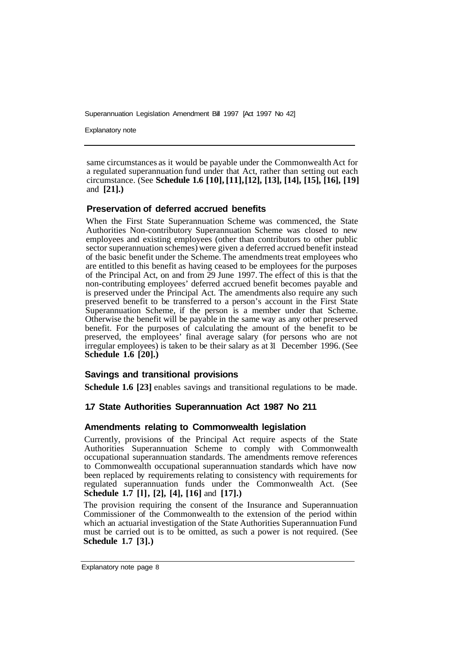Explanatory note

same circumstances as it would be payable under the Commonwealth Act for a regulated superannuation fund under that Act, rather than setting out each circumstance. (See **Schedule 1.6 [10], [11], [12], [13], [14], [15], [16], [19]**  and **[21].)** 

# **Preservation of deferred accrued benefits**

When the First State Superannuation Scheme was commenced, the State Authorities Non-contributory Superannuation Scheme was closed to new employees and existing employees (other than contributors to other public sector superannuation schemes) were given a deferred accrued benefit instead of the basic benefit under the Scheme. The amendments treat employees who are entitled to this benefit as having ceased to be employees for the purposes of the Principal Act, on and from 29 June 1997. The effect of this is that the non-contributing employees' deferred accrued benefit becomes payable and is preserved under the Principal Act. The amendments also require any such preserved benefit to be transferred to a person's account in the First State Superannuation Scheme, if the person is a member under that Scheme. Otherwise the benefit will be payable in the same way as any other preserved benefit. For the purposes of calculating the amount of the benefit to be preserved, the employees' final average salary (for persons who are not irregular employees) is taken to be their salary as at **31** December 1996. (See **Schedule 1.6 [20].)** 

#### **Savings and transitional provisions**

**Schedule 1.6 [23]** enables savings and transitional regulations to be made.

#### **1.7 State Authorities Superannuation Act 1987 No 211**

#### **Amendments relating to Commonwealth legislation**

Currently, provisions of the Principal Act require aspects of the State Authorities Superannuation Scheme to comply with Commonwealth occupational superannuation standards. The amendments remove references to Commonwealth occupational superannuation standards which have now been replaced by requirements relating to consistency with requirements for regulated superannuation funds under the Commonwealth Act. (See **Schedule 1.7 [l], [2], [4], [16]** and **[17].)** 

The provision requiring the consent of the Insurance and Superannuation Commissioner of the Commonwealth to the extension of the period within which an actuarial investigation of the State Authorities Superannuation Fund must be carried out is to be omitted, as such a power is not required. (See **Schedule 1.7 [3].)**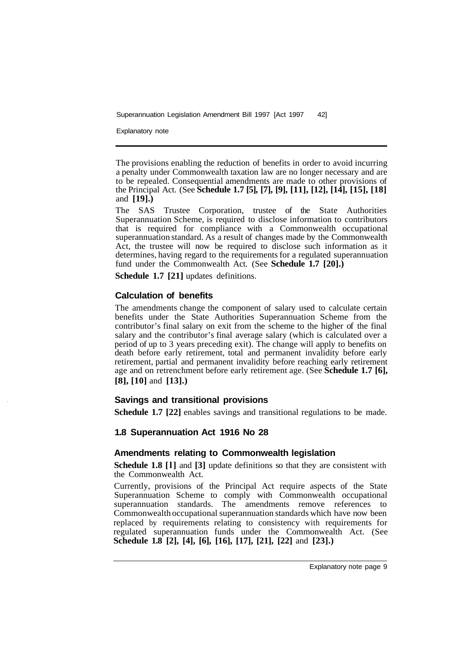Explanatory note

The provisions enabling the reduction of benefits in order to avoid incurring a penalty under Commonwealth taxation law are no longer necessary and are to be repealed. Consequential amendments are made to other provisions of the Principal Act. (See **Schedule 1.7 [5], [7], [9], [11], [12], [14], [15], [18]**  and **[19].)** 

The SAS Trustee Corporation, trustee of the State Authorities Superannuation Scheme, is required to disclose information to contributors that is required for compliance with a Commonwealth occupational superannuation standard. As a result of changes made by the Commonwealth Act, the trustee will now be required to disclose such information as it determines, having regard to the requirements for a regulated superannuation fund under the Commonwealth Act. (See **Schedule 1.7 [20].)** 

**Schedule 1.7 [21]** updates definitions.

# **Calculation of benefits**

The amendments change the component of salary used to calculate certain benefits under the State Authorities Superannuation Scheme from the contributor's final salary on exit from the scheme to the higher of the final salary and the contributor's final average salary (which is calculated over a period of up to 3 years preceding exit). The change will apply to benefits on death before early retirement, total and permanent invalidity before early retirement, partial and permanent invalidity before reaching early retirement age and on retrenchment before early retirement age. (See **Schedule 1.7 [6], [8], [10]** and **[13].)** 

# **Savings and transitional provisions**

**Schedule 1.7** [22] enables savings and transitional regulations to be made.

#### **1.8 Superannuation Act 1916 No 28**

#### **Amendments relating to Commonwealth legislation**

**Schedule 1.8 [l]** and **[3]** update definitions so that they are consistent with the Commonwealth Act.

Currently, provisions of the Principal Act require aspects of the State Superannuation Scheme to comply with Commonwealth occupational superannuation standards. The amendments remove references to Commonwealth occupational superannuation standards which have now been replaced by requirements relating to consistency with requirements for regulated superannuation funds under the Commonwealth Act. (See **Schedule 1.8 [2], [4], [6], [16], [17], [21], [22]** and **[23].)**